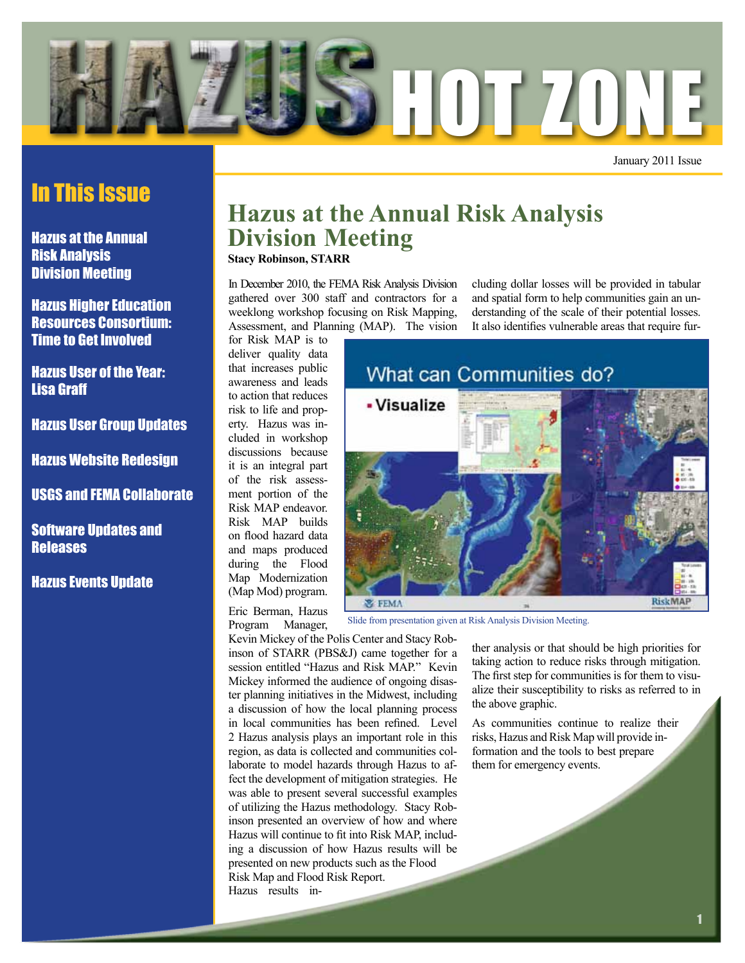

January 2011 Issue

### In This Issue

Hazus at the Annual Risk Analysis Division Meeting

Hazus Higher Education Resources Consortium: Time to Get Involved

Hazus User of the Year: Lisa Graff

Hazus User Group Updates

Hazus Website Redesign

USGS and FEMA Collaborate

Software Updates and **Releases** 

Hazus Events Update

# **Hazus at the Annual Risk Analysis Division Meeting**

**Stacy Robinson, STARR**

In December 2010, the FEMA Risk Analysis Division gathered over 300 staff and contractors for a weeklong workshop focusing on Risk Mapping, Assessment, and Planning (MAP). The vision cluding dollar losses will be provided in tabular and spatial form to help communities gain an understanding of the scale of their potential losses. It also identifies vulnerable areas that require fur-

for Risk MAP is to deliver quality data that increases public awareness and leads to action that reduces risk to life and property. Hazus was included in workshop discussions because it is an integral part of the risk assessment portion of the Risk MAP endeavor. Risk MAP builds on flood hazard data and maps produced during the Flood Map Modernization (Map Mod) program.

Eric Berman, Hazus Program Manager,

Kevin Mickey of the Polis Center and Stacy Robinson of STARR (PBS&J) came together for a session entitled "Hazus and Risk MAP." Kevin Mickey informed the audience of ongoing disaster planning initiatives in the Midwest, including a discussion of how the local planning process in local communities has been refined. Level 2 Hazus analysis plays an important role in this region, as data is collected and communities collaborate to model hazards through Hazus to affect the development of mitigation strategies. He was able to present several successful examples of utilizing the Hazus methodology. Stacy Robinson presented an overview of how and where Hazus will continue to fit into Risk MAP, including a discussion of how Hazus results will be presented on new products such as the Flood Risk Map and Flood Risk Report. Hazus results in-



Slide from presentation given at Risk Analysis Division Meeting.

ther analysis or that should be high priorities for taking action to reduce risks through mitigation. The first step for communities is for them to visualize their susceptibility to risks as referred to in the above graphic.

As communities continue to realize their risks, Hazus and Risk Map will provide information and the tools to best prepare them for emergency events.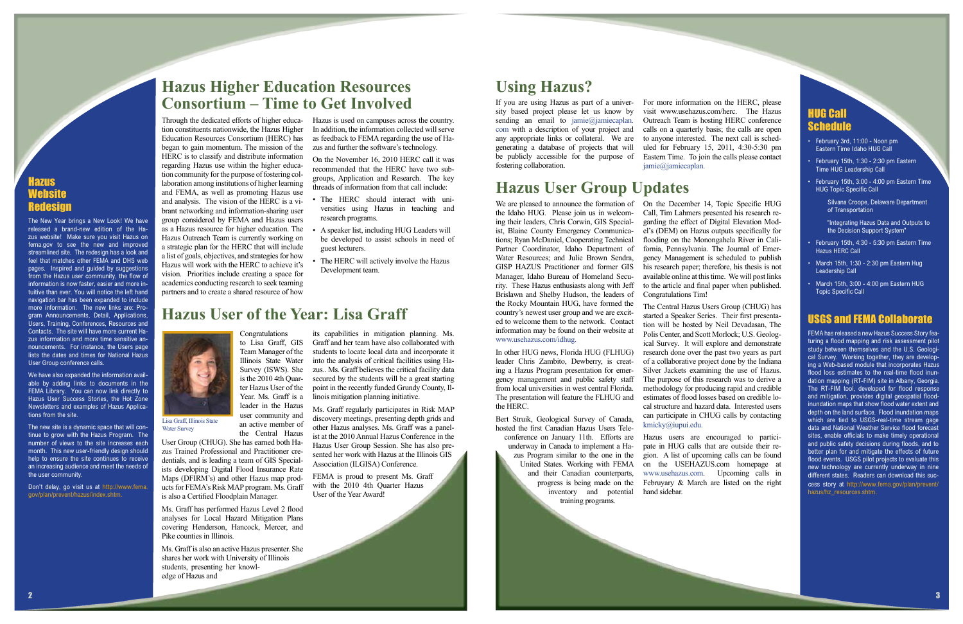tion constituents nationwide, the Hazus Higher Education Resources Consortium (HERC) has as feedback to FEMA regarding the use of Habegan to gain momentum. The mission of the HERC is to classify and distribute information regarding Hazus use within the higher education community for the purpose of fostering collaboration among institutions of higher learning and FEMA, as well as promoting Hazus use and analysis. The vision of the HERC is a vibrant networking and information-sharing user group considered by FEMA and Hazus users as a Hazus resource for higher education. The Hazus Outreach Team is currently working on a strategic plan for the HERC that will include a list of goals, objectives, and strategies for how Hazus will work with the HERC to achieve it's vision. Priorities include creating a space for academics conducting research to seek teaming partners and to create a shared resource of how

Through the dedicated efforts of higher educa-Hazus is used on campuses across the country. In addition, the information collected will serve zus and further the software's technology.

- The HERC should interact with universities using Hazus in teaching and research programs.
- A speaker list, including HUG Leaders will be developed to assist schools in need of guest lecturers.
- The HERC will actively involve the Hazus Development team.
- February 3rd, 11:00 Noon pm Eastern Time Idaho HUG Call
- $\cdot$  February 15th, 1:30 2:30 pm Eastern Time HUG Leadership Call
- $\cdot$  February 15th, 3:00 4:00 pm Eastern Time HUG Topic Specific Call

Silvana Croope, Delaware Department of Transportation

"Integrating Hazus Data and Outputs to the Decision Support System"

- **February 15th, 4:30 5:30 pm Eastern Time** Hazus HERC Call
- $\cdot$  March 15th, 1:30 2:30 pm Eastern Hug Leadership Call
- ¥ March 15th, 3:00 4:00 pm Eastern HUG Topic Specific Call

On the November 16, 2010 HERC call it was recommended that the HERC have two subgroups, Application and Research. The key threads of information from that call include:

### azus Website Redesign

#### HUG Call Schedule

#### USGS and FEMA Collaborate

We are pleased to announce the formation of On the December 14, Topic Specific HUG the Idaho HUG. Please join us in welcoming their leaders, Chris Corwin, GIS Specialist, Blaine County Emergency Communications; Ryan McDaniel, Cooperating Technical Partner Coordinator, Idaho Department of Water Resources; and Julie Brown Sendra, GISP HAZUS Practitioner and former GIS Manager, Idaho Bureau of Homeland Security. These Hazus enthusiasts along with Jeff Brislawn and Shelby Hudson, the leaders of the Rocky Mountain HUG, have formed the country's newest user group and we are excited to welcome them to the network. Contact information may be found on their website at www.usehazus.com/idhug.

FEMA has released a new Hazus Success Story featuring a flood mapping and risk assessment pilot study between themselves and the U.S. Geological Survey. Working together, they are developing a Web-based module that incorporates Hazus flood loss estimates to the real-time flood inundation mapping (RT-FIM) site in Albany, Georgia. The RT-FIM tool, developed for flood response and mitigation, provides digital geospatial floodinundation maps that show flood water extent and depth on the land surface. Flood inundation maps which are tied to USGS-real-time stream gage data and National Weather Service flood forecast sites, enable officials to make timely operational and public safety decisions during floods, and to better plan for and mitigate the effects of future flood events. USGS pilot projects to evaluate this new technology are currently underway in nine different states. Readers can download this success story at http://www.fema.gov/plan/prevent/ hazus/hz\_resources.shtm.

The New Year brings a New Look! We have released a brand-new edition of the Hazus website! Make sure you visit Hazus on fema.gov to see the new and improved streamlined site. The redesign has a look and feel that matches other FEMA and DHS web pages. Inspired and guided by suggestions from the Hazus user community, the flow of information is now faster, easier and more intuitive than ever. You will notice the left hand navigation bar has been expanded to include more information. The new links are: Program Announcements, Detail, Applications, Users, Training, Conferences, Resources and Contacts. The site will have more current Hazus information and more time sensitive announcements. For instance, the Users page lists the dates and times for National Hazus User Group conference calls.

We have also expanded the information available by adding links to documents in the FEMA Library. You can now link directly to Hazus User Success Stories, the Hot Zone Newsletters and examples of Hazus Applications from the site.

The new site is a dynamic space that will continue to grow with the Hazus Program. The number of views to the site increases each month. This new user-friendly design should help to ensure the site continues to receive an increasing audience and meet the needs of the user community.

Lisa Graff, Illinois State Water Survey

Don't delay, go visit us at http://www.fema. gov/plan/prevent/hazus/index.shtm.

In other HUG news, Florida HUG (FLHUG) leader Chris Zambito, Dewberry, is creating a Hazus Program presentation for emergency management and public safety staff from local universities in west central Florida. The presentation will feature the FLHUG and the HERC.

Bert Struik, Geological Survey of Canada, hosted the first Canadian Hazus Users Tele-

conference on January 11th. Efforts are underway in Canada to implement a Hazus Program similar to the one in the United States. Working with FEMA and their Canadian counterparts, progress is being made on the inventory and potential training programs.

Call, Tim Lahmers presented his research regarding the effect of Digital Elevation Model's (DEM) on Hazus outputs specifically for flooding on the Monongahela River in California, Pennsylvania. The Journal of Emergency Management is scheduled to publish his research paper; therefore, his thesis is not available online at this time. We will post links to the article and final paper when published. Congratulations Tim!

The Central Hazus Users Group (CHUG) has started a Speaker Series. Their first presentation will be hosted by Neil Devadasan, The Polis Center, and Scott Morlock; U.S. Geological Survey. It will explore and demonstrate research done over the past two years as part of a collaborative project done by the Indiana Silver Jackets examining the use of Hazus. The purpose of this research was to derive a methodology for producing rapid and credible estimates of flood losses based on credible local structure and hazard data. Interested users can participate in CHUG calls by contacting kmicky@iupui.edu.

Hazus users are encouraged to participate in HUG calls that are outside their region. A list of upcoming calls can be found on the USEHAZUS.com homepage at www.usehazus.com. Upcoming calls in Februyary & March are listed on the right hand sidebar.

## **Hazus User Group Updates**

Congratulations to Lisa Graff, GIS Team Manager of the Illinois State Water Survey (ISWS). She is the 2010 4th Quarter Hazus User of the Year. Ms. Graff is a leader in the Hazus

user community and an active member of

the Central Hazus User Group (CHUG). She has earned both Hazus Trained Professional and Practitioner credentials, and is leading a team of GIS Specialists developing Digital Flood Insurance Rate Maps (DFIRM's) and other Hazus map products for FEMA's Risk MAP program. Ms. Graff is also a Certified Floodplain Manager.

Ms. Graff has performed Hazus Level 2 flood analyses for Local Hazard Mitigation Plans covering Henderson, Hancock, Mercer, and Pike counties in Illinois.

Ms. Graff is also an active Hazus presenter. She shares her work with University of Illinois students, presenting her knowledge of Hazus and

its capabilities in mitigation planning. Ms. Graff and her team have also collaborated with students to locate local data and incorporate it into the analysis of critical facilities using Hazus.. Ms. Graff believes the critical facility data secured by the students will be a great starting point in the recently funded Grundy County, Illinois mitigation planning initiative.

Ms. Graff regularly participates in Risk MAP discovery meetings, presenting depth grids and other Hazus analyses. Ms. Graff was a panelist at the 2010 Annual Hazus Conference in the Hazus User Group Session. She has also presented her work with Hazus at the Illinois GIS Association (ILGISA) Conference.

FEMA is proud to present Ms. Graff with the 2010 4th Quarter Hazus User of the Year Award!

### **Hazus User of the Year: Lisa Graff**

# **Using Hazus?**

sity based project please let us know by sending an email to jamie@jamiecaplan. com with a description of your project and any appropriate links or collateral. We are generating a database of projects that will be publicly accessible for the purpose of fostering collaboration.

If you are using Hazus as part of a univer-For more information on the HERC, please visit www.usehazus.com/herc. The Hazus Outreach Team is hosting HERC conference calls on a quarterly basis; the calls are open to anyone interested. The next call is scheduled for February 15, 2011, 4:30-5:30 pm Eastern Time. To join the calls please contact jamie@jamiecaplan.

# **Hazus Higher Education Resources Consortium – Time to Get Involved**